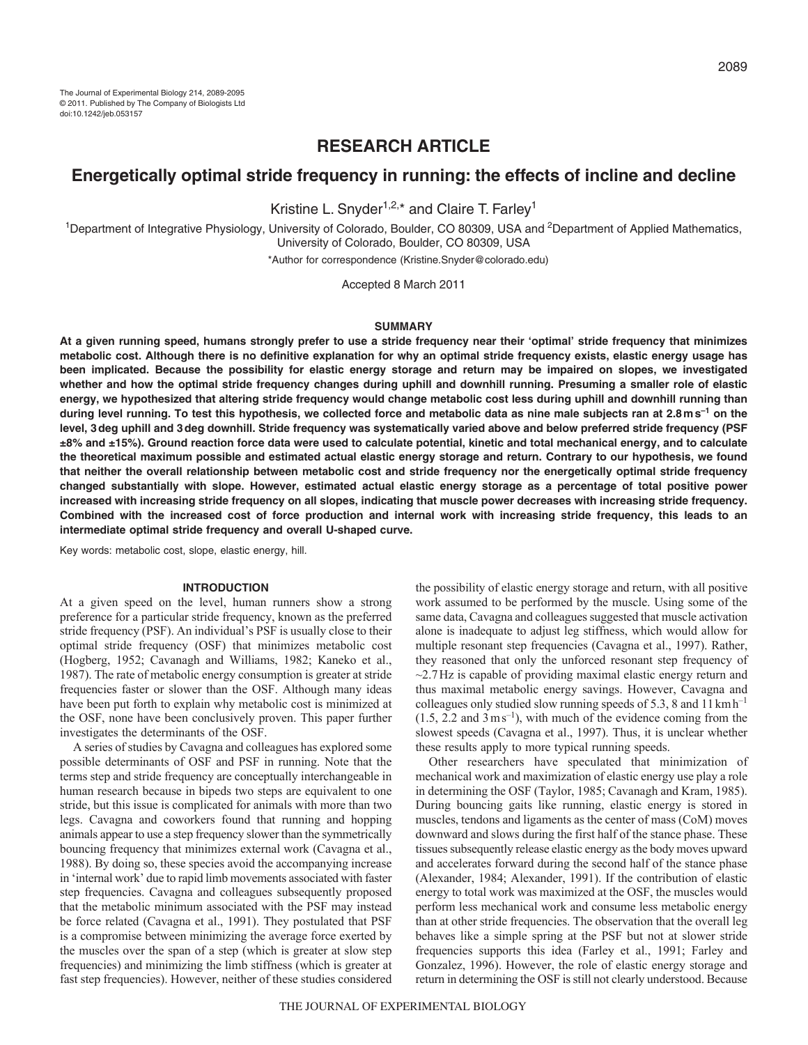The Journal of Experimental Biology 214, 2089-2095 © 2011. Published by The Company of Biologists Ltd doi:10.1242/jeb.053157

# **RESEARCH ARTICLE**

## **Energetically optimal stride frequency in running: the effects of incline and decline**

Kristine L. Snyder<sup>1,2,\*</sup> and Claire T. Farley<sup>1</sup>

<sup>1</sup>Department of Integrative Physiology, University of Colorado, Boulder, CO 80309, USA and <sup>2</sup>Department of Applied Mathematics, University of Colorado, Boulder, CO 80309, USA

\*Author for correspondence (Kristine.Snyder@colorado.edu)

Accepted 8 March 2011

#### **SUMMARY**

**At a given running speed, humans strongly prefer to use a stride frequency near their 'optimal' stride frequency that minimizes metabolic cost. Although there is no definitive explanation for why an optimal stride frequency exists, elastic energy usage has been implicated. Because the possibility for elastic energy storage and return may be impaired on slopes, we investigated whether and how the optimal stride frequency changes during uphill and downhill running. Presuming a smaller role of elastic energy, we hypothesized that altering stride frequency would change metabolic cost less during uphill and downhill running than during level running. To test this hypothesis, we collected force and metabolic data as nine male subjects ran at 2.8ms–1 on the level, 3deg uphill and 3deg downhill. Stride frequency was systematically varied above and below preferred stride frequency (PSF ±8% and ±15%). Ground reaction force data were used to calculate potential, kinetic and total mechanical energy, and to calculate the theoretical maximum possible and estimated actual elastic energy storage and return. Contrary to our hypothesis, we found that neither the overall relationship between metabolic cost and stride frequency nor the energetically optimal stride frequency changed substantially with slope. However, estimated actual elastic energy storage as a percentage of total positive power increased with increasing stride frequency on all slopes, indicating that muscle power decreases with increasing stride frequency. Combined with the increased cost of force production and internal work with increasing stride frequency, this leads to an intermediate optimal stride frequency and overall U-shaped curve.**

Key words: metabolic cost, slope, elastic energy, hill.

#### **INTRODUCTION**

At a given speed on the level, human runners show a strong preference for a particular stride frequency, known as the preferred stride frequency (PSF). An individual's PSF is usually close to their optimal stride frequency (OSF) that minimizes metabolic cost (Hogberg, 1952; Cavanagh and Williams, 1982; Kaneko et al., 1987). The rate of metabolic energy consumption is greater at stride frequencies faster or slower than the OSF. Although many ideas have been put forth to explain why metabolic cost is minimized at the OSF, none have been conclusively proven. This paper further investigates the determinants of the OSF.

A series of studies by Cavagna and colleagues has explored some possible determinants of OSF and PSF in running. Note that the terms step and stride frequency are conceptually interchangeable in human research because in bipeds two steps are equivalent to one stride, but this issue is complicated for animals with more than two legs. Cavagna and coworkers found that running and hopping animals appear to use a step frequency slower than the symmetrically bouncing frequency that minimizes external work (Cavagna et al., 1988). By doing so, these species avoid the accompanying increase in 'internal work' due to rapid limb movements associated with faster step frequencies. Cavagna and colleagues subsequently proposed that the metabolic minimum associated with the PSF may instead be force related (Cavagna et al., 1991). They postulated that PSF is a compromise between minimizing the average force exerted by the muscles over the span of a step (which is greater at slow step frequencies) and minimizing the limb stiffness (which is greater at fast step frequencies). However, neither of these studies considered the possibility of elastic energy storage and return, with all positive work assumed to be performed by the muscle. Using some of the same data, Cavagna and colleagues suggested that muscle activation alone is inadequate to adjust leg stiffness, which would allow for multiple resonant step frequencies (Cavagna et al., 1997). Rather, they reasoned that only the unforced resonant step frequency of  $\sim$ 2.7Hz is capable of providing maximal elastic energy return and thus maximal metabolic energy savings. However, Cavagna and colleagues only studied slow running speeds of 5.3, 8 and  $11 \text{ km h}^{-1}$  $(1.5, 2.2 \text{ and } 3 \text{ ms}^{-1})$ , with much of the evidence coming from the slowest speeds (Cavagna et al., 1997). Thus, it is unclear whether these results apply to more typical running speeds.

Other researchers have speculated that minimization of mechanical work and maximization of elastic energy use play a role in determining the OSF (Taylor, 1985; Cavanagh and Kram, 1985). During bouncing gaits like running, elastic energy is stored in muscles, tendons and ligaments as the center of mass (CoM) moves downward and slows during the first half of the stance phase. These tissues subsequently release elastic energy as the body moves upward and accelerates forward during the second half of the stance phase (Alexander, 1984; Alexander, 1991). If the contribution of elastic energy to total work was maximized at the OSF, the muscles would perform less mechanical work and consume less metabolic energy than at other stride frequencies. The observation that the overall leg behaves like a simple spring at the PSF but not at slower stride frequencies supports this idea (Farley et al., 1991; Farley and Gonzalez, 1996). However, the role of elastic energy storage and return in determining the OSF is still not clearly understood. Because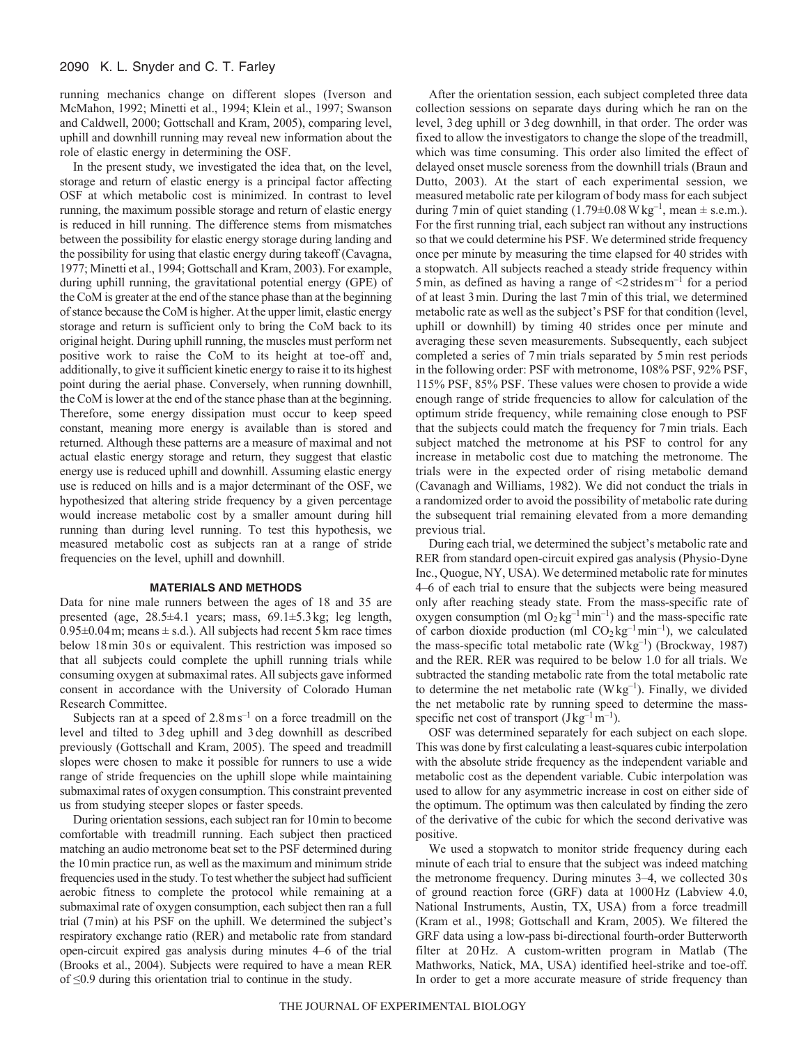running mechanics change on different slopes (Iverson and McMahon, 1992; Minetti et al., 1994; Klein et al., 1997; Swanson and Caldwell, 2000; Gottschall and Kram, 2005), comparing level, uphill and downhill running may reveal new information about the role of elastic energy in determining the OSF.

In the present study, we investigated the idea that, on the level, storage and return of elastic energy is a principal factor affecting OSF at which metabolic cost is minimized. In contrast to level running, the maximum possible storage and return of elastic energy is reduced in hill running. The difference stems from mismatches between the possibility for elastic energy storage during landing and the possibility for using that elastic energy during takeoff (Cavagna, 1977; Minetti et al., 1994; Gottschall and Kram, 2003). For example, during uphill running, the gravitational potential energy (GPE) of the CoM is greater at the end of the stance phase than at the beginning of stance because the CoM is higher. At the upper limit, elastic energy storage and return is sufficient only to bring the CoM back to its original height. During uphill running, the muscles must perform net positive work to raise the CoM to its height at toe-off and, additionally, to give it sufficient kinetic energy to raise it to its highest point during the aerial phase. Conversely, when running downhill, the CoM is lower at the end of the stance phase than at the beginning. Therefore, some energy dissipation must occur to keep speed constant, meaning more energy is available than is stored and returned. Although these patterns are a measure of maximal and not actual elastic energy storage and return, they suggest that elastic energy use is reduced uphill and downhill. Assuming elastic energy use is reduced on hills and is a major determinant of the OSF, we hypothesized that altering stride frequency by a given percentage would increase metabolic cost by a smaller amount during hill running than during level running. To test this hypothesis, we measured metabolic cost as subjects ran at a range of stride frequencies on the level, uphill and downhill.

#### **MATERIALS AND METHODS**

Data for nine male runners between the ages of 18 and 35 are presented (age, 28.5±4.1 years; mass, 69.1±5.3kg; leg length,  $0.95\pm0.04$  m; means  $\pm$  s.d.). All subjects had recent 5 km race times below 18min 30s or equivalent. This restriction was imposed so that all subjects could complete the uphill running trials while consuming oxygen at submaximal rates. All subjects gave informed consent in accordance with the University of Colorado Human Research Committee.

Subjects ran at a speed of  $2.8 \text{ m s}^{-1}$  on a force treadmill on the level and tilted to 3deg uphill and 3deg downhill as described previously (Gottschall and Kram, 2005). The speed and treadmill slopes were chosen to make it possible for runners to use a wide range of stride frequencies on the uphill slope while maintaining submaximal rates of oxygen consumption. This constraint prevented us from studying steeper slopes or faster speeds.

During orientation sessions, each subject ran for 10min to become comfortable with treadmill running. Each subject then practiced matching an audio metronome beat set to the PSF determined during the 10min practice run, as well as the maximum and minimum stride frequencies used in the study. To test whether the subject had sufficient aerobic fitness to complete the protocol while remaining at a submaximal rate of oxygen consumption, each subject then ran a full trial (7min) at his PSF on the uphill. We determined the subject's respiratory exchange ratio (RER) and metabolic rate from standard open-circuit expired gas analysis during minutes 4–6 of the trial (Brooks et al., 2004). Subjects were required to have a mean RER of ≤0.9 during this orientation trial to continue in the study.

After the orientation session, each subject completed three data collection sessions on separate days during which he ran on the level, 3deg uphill or 3deg downhill, in that order. The order was fixed to allow the investigators to change the slope of the treadmill, which was time consuming. This order also limited the effect of delayed onset muscle soreness from the downhill trials (Braun and Dutto, 2003). At the start of each experimental session, we measured metabolic rate per kilogram of body mass for each subject during 7 min of quiet standing  $(1.79\pm0.08 \text{ W kg}^{-1})$ , mean  $\pm$  s.e.m.). For the first running trial, each subject ran without any instructions so that we could determine his PSF. We determined stride frequency once per minute by measuring the time elapsed for 40 strides with a stopwatch. All subjects reached a steady stride frequency within 5 min, as defined as having a range of  $\leq$ 2 strides m<sup>-1</sup> for a period of at least 3min. During the last 7min of this trial, we determined metabolic rate as well as the subject's PSF for that condition (level, uphill or downhill) by timing 40 strides once per minute and averaging these seven measurements. Subsequently, each subject completed a series of 7min trials separated by 5min rest periods in the following order: PSF with metronome, 108% PSF, 92% PSF, 115% PSF, 85% PSF. These values were chosen to provide a wide enough range of stride frequencies to allow for calculation of the optimum stride frequency, while remaining close enough to PSF that the subjects could match the frequency for 7min trials. Each subject matched the metronome at his PSF to control for any increase in metabolic cost due to matching the metronome. The trials were in the expected order of rising metabolic demand (Cavanagh and Williams, 1982). We did not conduct the trials in a randomized order to avoid the possibility of metabolic rate during the subsequent trial remaining elevated from a more demanding previous trial.

During each trial, we determined the subject's metabolic rate and RER from standard open-circuit expired gas analysis (Physio-Dyne Inc., Quogue, NY, USA). We determined metabolic rate for minutes 4–6 of each trial to ensure that the subjects were being measured only after reaching steady state. From the mass-specific rate of oxygen consumption (ml  $O_2$ kg<sup>-1</sup>min<sup>-1</sup>) and the mass-specific rate of carbon dioxide production (ml  $CO<sub>2</sub>$ kg<sup>-1</sup>min<sup>-1</sup>), we calculated the mass-specific total metabolic rate  $(Wkg^{-1})$  (Brockway, 1987) and the RER. RER was required to be below 1.0 for all trials. We subtracted the standing metabolic rate from the total metabolic rate to determine the net metabolic rate  $(Wkg^{-1})$ . Finally, we divided the net metabolic rate by running speed to determine the massspecific net cost of transport  $(Jkg^{-1}m^{-1})$ .

OSF was determined separately for each subject on each slope. This was done by first calculating a least-squares cubic interpolation with the absolute stride frequency as the independent variable and metabolic cost as the dependent variable. Cubic interpolation was used to allow for any asymmetric increase in cost on either side of the optimum. The optimum was then calculated by finding the zero of the derivative of the cubic for which the second derivative was positive.

We used a stopwatch to monitor stride frequency during each minute of each trial to ensure that the subject was indeed matching the metronome frequency. During minutes 3–4, we collected 30s of ground reaction force (GRF) data at 1000Hz (Labview 4.0, National Instruments, Austin, TX, USA) from a force treadmill (Kram et al., 1998; Gottschall and Kram, 2005). We filtered the GRF data using a low-pass bi-directional fourth-order Butterworth filter at 20Hz. A custom-written program in Matlab (The Mathworks, Natick, MA, USA) identified heel-strike and toe-off. In order to get a more accurate measure of stride frequency than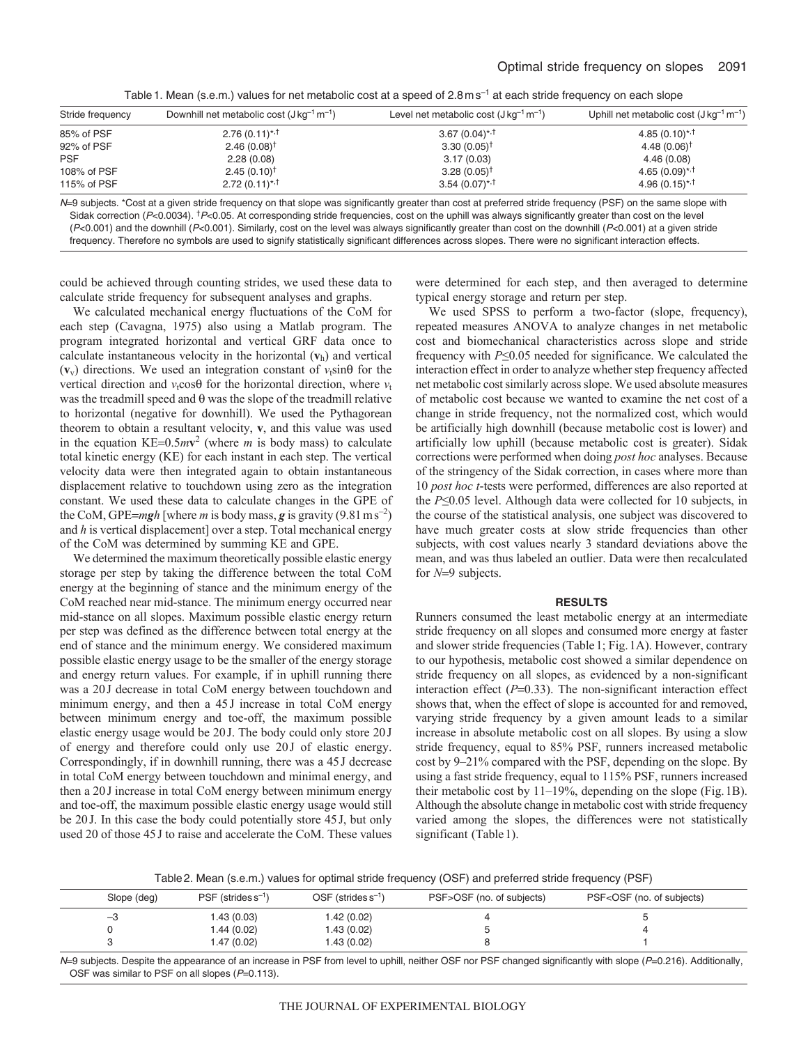|  |  | Table 1. Mean (s.e.m.) values for net metabolic cost at a speed of 2.8 ms <sup>-1</sup> at each stride frequency on each slope |  |  |  |
|--|--|--------------------------------------------------------------------------------------------------------------------------------|--|--|--|
|--|--|--------------------------------------------------------------------------------------------------------------------------------|--|--|--|

| Stride frequency | Downhill net metabolic cost $(J kq^{-1} m^{-1})$ | Level net metabolic cost $(J kq^{-1} m^{-1})$ | Uphill net metabolic cost $(J \text{ kg}^{-1} \text{ m}^{-1})$ |
|------------------|--------------------------------------------------|-----------------------------------------------|----------------------------------------------------------------|
| 85% of PSF       | $2.76(0.11)^{*}$ <sup>1</sup>                    | $3.67(0.04)^{*1}$                             | 4.85 $(0.10)^{*,}$                                             |
| 92% of PSF       | $2.46(0.08)^{\dagger}$                           | $3.30(0.05)^{\dagger}$                        | 4.48 $(0.06)$ <sup>†</sup>                                     |
| <b>PSF</b>       | 2.28(0.08)                                       | 3.17(0.03)                                    | 4.46(0.08)                                                     |
| 108% of PSF      | $2.45(0.10)^{\dagger}$                           | $3.28(0.05)^{\dagger}$                        | 4.65 $(0.09)$ <sup>*,†</sup>                                   |
| 115% of PSF      | $2.72(0.11)^{*}$ <sup>t</sup>                    | $3.54(0.07)^{*,1}$                            | 4.96 $(0.15)$ <sup>*,†</sup>                                   |
|                  | .                                                | .                                             | $\sim$ $\sim$ $\sim$ $\sim$                                    |

N=9 subjects. \*Cost at a given stride frequency on that slope was significantly greater than cost at preferred stride frequency (PSF) on the same slope with Sidak correction ( $P<0.0034$ ). <sup>†</sup> $P<0.05$ . At corresponding stride frequencies, cost on the uphill was always significantly greater than cost on the level (P<0.001) and the downhill (P<0.001). Similarly, cost on the level was always significantly greater than cost on the downhill (P<0.001) at a given stride frequency. Therefore no symbols are used to signify statistically significant differences across slopes. There were no significant interaction effects.

could be achieved through counting strides, we used these data to calculate stride frequency for subsequent analyses and graphs.

We calculated mechanical energy fluctuations of the CoM for each step (Cavagna, 1975) also using a Matlab program. The program integrated horizontal and vertical GRF data once to calculate instantaneous velocity in the horizontal  $(v<sub>h</sub>)$  and vertical  $(v_v)$  directions. We used an integration constant of  $v_t \sin\theta$  for the vertical direction and  $v_t \cos\theta$  for the horizontal direction, where  $v_t$ was the treadmill speed and  $\theta$  was the slope of the treadmill relative to horizontal (negative for downhill). We used the Pythagorean theorem to obtain a resultant velocity, **v**, and this value was used in the equation  $KE=0.5mv^2$  (where *m* is body mass) to calculate total kinetic energy (KE) for each instant in each step. The vertical velocity data were then integrated again to obtain instantaneous displacement relative to touchdown using zero as the integration constant. We used these data to calculate changes in the GPE of the CoM, GPE= $mgh$  [where *m* is body mass, *g* is gravity (9.81 m s<sup>-2</sup>) and *h* is vertical displacement] over a step. Total mechanical energy of the CoM was determined by summing KE and GPE.

We determined the maximum theoretically possible elastic energy storage per step by taking the difference between the total CoM energy at the beginning of stance and the minimum energy of the CoM reached near mid-stance. The minimum energy occurred near mid-stance on all slopes. Maximum possible elastic energy return per step was defined as the difference between total energy at the end of stance and the minimum energy. We considered maximum possible elastic energy usage to be the smaller of the energy storage and energy return values. For example, if in uphill running there was a 20J decrease in total CoM energy between touchdown and minimum energy, and then a 45J increase in total CoM energy between minimum energy and toe-off, the maximum possible elastic energy usage would be 20J. The body could only store 20J of energy and therefore could only use 20J of elastic energy. Correspondingly, if in downhill running, there was a 45J decrease in total CoM energy between touchdown and minimal energy, and then a 20J increase in total CoM energy between minimum energy and toe-off, the maximum possible elastic energy usage would still be 20J. In this case the body could potentially store 45J, but only used 20 of those 45J to raise and accelerate the CoM. These values

were determined for each step, and then averaged to determine typical energy storage and return per step.

We used SPSS to perform a two-factor (slope, frequency), repeated measures ANOVA to analyze changes in net metabolic cost and biomechanical characteristics across slope and stride frequency with *P*≤0.05 needed for significance. We calculated the interaction effect in order to analyze whether step frequency affected net metabolic cost similarly across slope. We used absolute measures of metabolic cost because we wanted to examine the net cost of a change in stride frequency, not the normalized cost, which would be artificially high downhill (because metabolic cost is lower) and artificially low uphill (because metabolic cost is greater). Sidak corrections were performed when doing *post hoc* analyses. Because of the stringency of the Sidak correction, in cases where more than 10 *post hoc t*-tests were performed, differences are also reported at the *P*≤0.05 level. Although data were collected for 10 subjects, in the course of the statistical analysis, one subject was discovered to have much greater costs at slow stride frequencies than other subjects, with cost values nearly 3 standard deviations above the mean, and was thus labeled an outlier. Data were then recalculated for *N*=9 subjects.

#### **RESULTS**

Runners consumed the least metabolic energy at an intermediate stride frequency on all slopes and consumed more energy at faster and slower stride frequencies (Table1; Fig.1A). However, contrary to our hypothesis, metabolic cost showed a similar dependence on stride frequency on all slopes, as evidenced by a non-significant interaction effect  $(P=0.33)$ . The non-significant interaction effect shows that, when the effect of slope is accounted for and removed, varying stride frequency by a given amount leads to a similar increase in absolute metabolic cost on all slopes. By using a slow stride frequency, equal to 85% PSF, runners increased metabolic cost by 9–21% compared with the PSF, depending on the slope. By using a fast stride frequency, equal to 115% PSF, runners increased their metabolic cost by 11–19%, depending on the slope (Fig.1B). Although the absolute change in metabolic cost with stride frequency varied among the slopes, the differences were not statistically significant (Table 1).

Table2. Mean (s.e.m.) values for optimal stride frequency (OSF) and preferred stride frequency (PSF)

| Slope (deg) | $PSF$ (strides $s^{-1}$ ) | OSF (strides $s^{-1}$ ) | PSF>OSF (no. of subjects) | PSF <osf (no.="" of="" subjects)<="" th=""></osf> |
|-------------|---------------------------|-------------------------|---------------------------|---------------------------------------------------|
| —ე          | 1.43 (0.03)               | 1.42 (0.02)             |                           |                                                   |
|             | 1.44 (0.02)               | 1.43 (0.02)             |                           |                                                   |
|             | 1.47 (0.02)               | 1.43 (0.02)             |                           |                                                   |

N=9 subjects. Despite the appearance of an increase in PSF from level to uphill, neither OSF nor PSF changed significantly with slope (P=0.216). Additionally, OSF was similar to PSF on all slopes (P=0.113).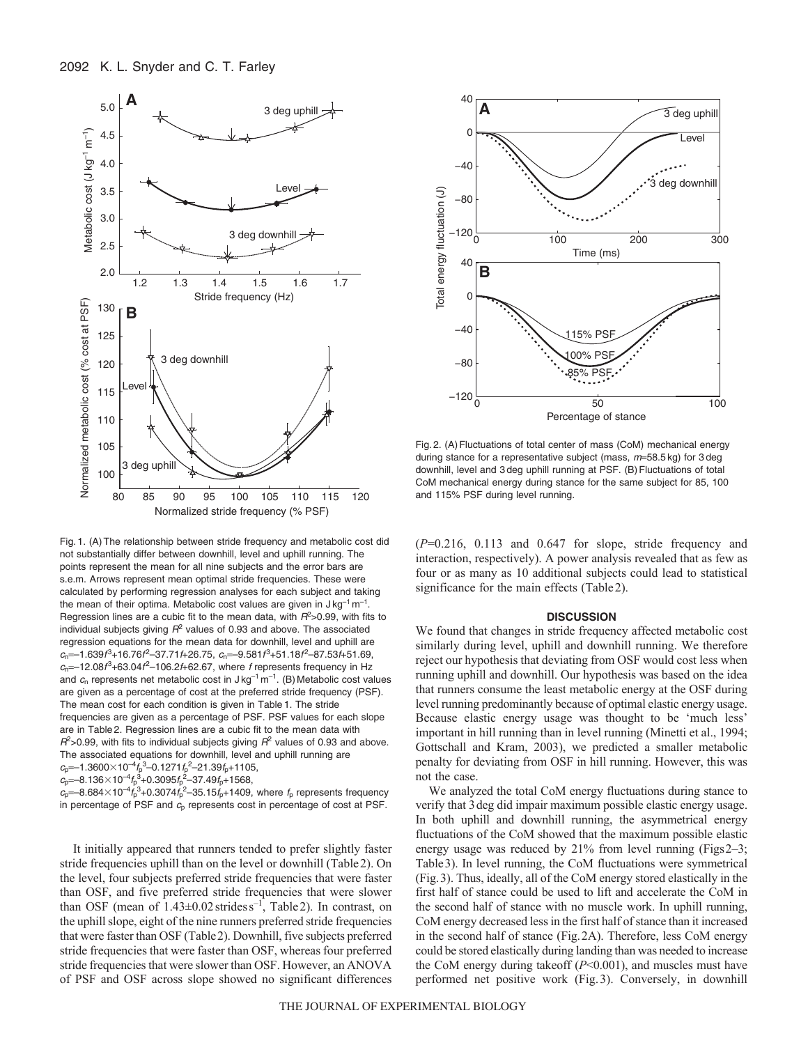

Fig. 1. (A)The relationship between stride frequency and metabolic cost did not substantially differ between downhill, level and uphill running. The points represent the mean for all nine subjects and the error bars are s.e.m. Arrows represent mean optimal stride frequencies. These were calculated by performing regression analyses for each subject and taking the mean of their optima. Metabolic cost values are given in  $J \text{ kg}^{-1} \text{ m}^{-1}$ . Regression lines are a cubic fit to the mean data, with  $R^2 > 0.99$ , with fits to individual subjects giving  $R^2$  values of 0.93 and above. The associated regression equations for the mean data for downhill, level and uphill are  $c_{\sf n}$ =–1.639f $^3$ +16.76f $^2$ –37.71f+26.75,  $c_{\sf n}$ =–9.581f $^3$ +51.18f $^2$ –87.53f+51.69,  $c_{n}$ =–12.08 $f^3$ +63.04 $f^2$ –106.2f+62.67, where  $f$  represents frequency in Hz and  $c_n$  represents net metabolic cost in  $J \kappa g^{-1} m^{-1}$ . (B) Metabolic cost values are given as a percentage of cost at the preferred stride frequency (PSF). The mean cost for each condition is given in Table 1. The stride frequencies are given as a percentage of PSF. PSF values for each slope are in Table 2. Regression lines are a cubic fit to the mean data with  $R^2$ >0.99, with fits to individual subjects giving  $R^2$  values of 0.93 and above. The associated equations for downhill, level and uphill running are  $c_{\rm p}$ =–1.3600 $\times$ 10<sup>–4</sup> $t_{\rm p}^{\rm 3}$ –0.1271 $t_{\rm p}^{\rm 2}$ –21.39 $t_{\rm p}$ +1105,  $c_{\rm p}$ =–8.136 $\times$ 10<sup>–4</sup> $t_{\rm p}$ <sup>3</sup>+0.3095 $t_{\rm p}$ <sup>2</sup>–37.49 $t_{\rm p}$ +1568,

 $c_{\rm p}$ =–8.684 $\times$ 10<sup>–4</sup> $t_{\rm p}$ <sup>3</sup>+0.3074 $t_{\rm p}$ <sup>2</sup>–35.15 $t_{\rm p}$ +1409, where  $t_{\rm p}$  represents frequency in percentage of PSF and  $c_p$  represents cost in percentage of cost at PSF.

It initially appeared that runners tended to prefer slightly faster stride frequencies uphill than on the level or downhill (Table2). On the level, four subjects preferred stride frequencies that were faster than OSF, and five preferred stride frequencies that were slower than OSF (mean of  $1.43\pm0.02$  strides s<sup>-1</sup>, Table 2). In contrast, on the uphill slope, eight of the nine runners preferred stride frequencies that were faster than OSF (Table2). Downhill, five subjects preferred stride frequencies that were faster than OSF, whereas four preferred stride frequencies that were slower than OSF. However, an ANOVA of PSF and OSF across slope showed no significant differences



Fig. 2. (A)Fluctuations of total center of mass (CoM) mechanical energy during stance for a representative subject (mass,  $m=58.5$  kg) for 3 deg downhill, level and 3 deg uphill running at PSF. (B) Fluctuations of total CoM mechanical energy during stance for the same subject for 85, 100 and 115% PSF during level running.

(*P*=0.216, 0.113 and 0.647 for slope, stride frequency and interaction, respectively). A power analysis revealed that as few as four or as many as 10 additional subjects could lead to statistical significance for the main effects (Table 2).

### **DISCUSSION**

We found that changes in stride frequency affected metabolic cost similarly during level, uphill and downhill running. We therefore reject our hypothesis that deviating from OSF would cost less when running uphill and downhill. Our hypothesis was based on the idea that runners consume the least metabolic energy at the OSF during level running predominantly because of optimal elastic energy usage. Because elastic energy usage was thought to be 'much less' important in hill running than in level running (Minetti et al., 1994; Gottschall and Kram, 2003), we predicted a smaller metabolic penalty for deviating from OSF in hill running. However, this was not the case.

We analyzed the total CoM energy fluctuations during stance to verify that 3deg did impair maximum possible elastic energy usage. In both uphill and downhill running, the asymmetrical energy fluctuations of the CoM showed that the maximum possible elastic energy usage was reduced by  $21\%$  from level running (Figs  $2-3$ ; Table3). In level running, the CoM fluctuations were symmetrical (Fig.3). Thus, ideally, all of the CoM energy stored elastically in the first half of stance could be used to lift and accelerate the CoM in the second half of stance with no muscle work. In uphill running, CoM energy decreased less in the first half of stance than it increased in the second half of stance (Fig.2A). Therefore, less CoM energy could be stored elastically during landing than was needed to increase the CoM energy during takeoff (*P*<0.001), and muscles must have performed net positive work (Fig.3). Conversely, in downhill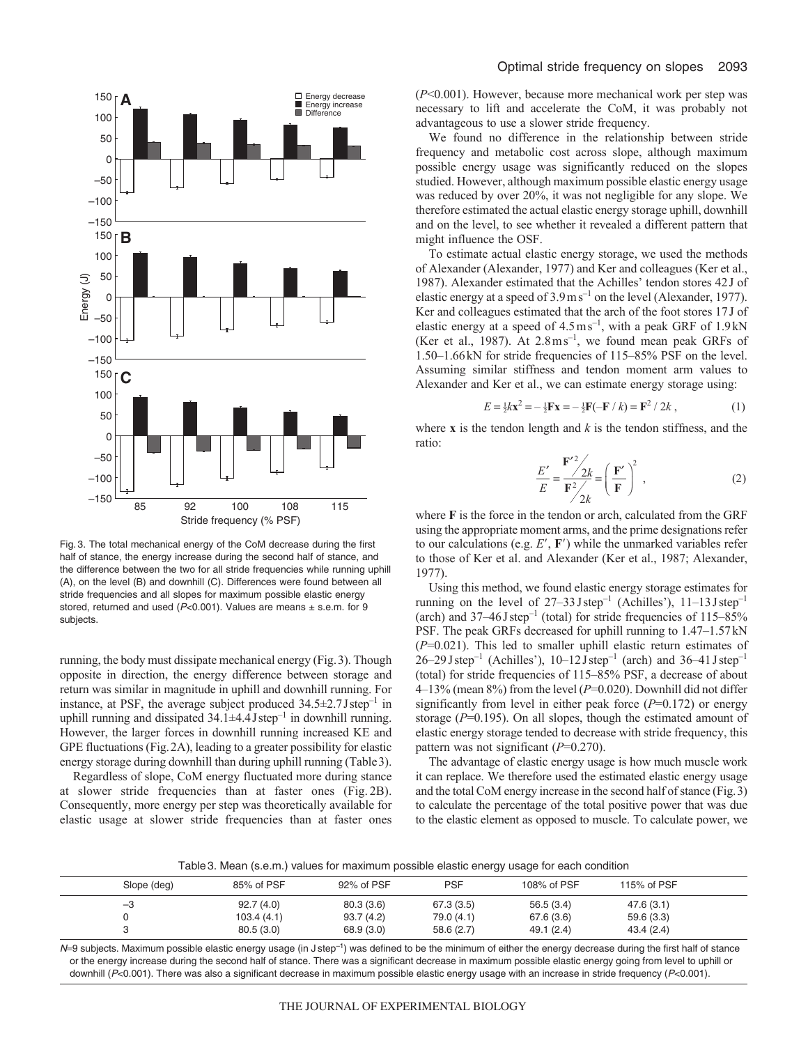

Fig. 3. The total mechanical energy of the CoM decrease during the first half of stance, the energy increase during the second half of stance, and the difference between the two for all stride frequencies while running uphill (A), on the level (B) and downhill (C). Differences were found between all stride frequencies and all slopes for maximum possible elastic energy stored, returned and used ( $P<0.001$ ). Values are means  $\pm$  s.e.m. for 9 subjects.

running, the body must dissipate mechanical energy (Fig.3). Though opposite in direction, the energy difference between storage and return was similar in magnitude in uphill and downhill running. For instance, at PSF, the average subject produced  $34.5 \pm 2.7$  Jstep<sup>-1</sup> in uphill running and dissipated  $34.1 \pm 4.4$  Jstep<sup>-1</sup> in downhill running. However, the larger forces in downhill running increased KE and GPE fluctuations (Fig.2A), leading to a greater possibility for elastic energy storage during downhill than during uphill running (Table3).

Regardless of slope, CoM energy fluctuated more during stance at slower stride frequencies than at faster ones (Fig. 2B). Consequently, more energy per step was theoretically available for elastic usage at slower stride frequencies than at faster ones (*P*<0.001). However, because more mechanical work per step was necessary to lift and accelerate the CoM, it was probably not advantageous to use a slower stride frequency.

We found no difference in the relationship between stride frequency and metabolic cost across slope, although maximum possible energy usage was significantly reduced on the slopes studied. However, although maximum possible elastic energy usage was reduced by over 20%, it was not negligible for any slope. We therefore estimated the actual elastic energy storage uphill, downhill and on the level, to see whether it revealed a different pattern that might influence the OSF.

To estimate actual elastic energy storage, we used the methods of Alexander (Alexander, 1977) and Ker and colleagues (Ker et al., 1987). Alexander estimated that the Achilles' tendon stores 42J of elastic energy at a speed of  $3.9 \text{ m s}^{-1}$  on the level (Alexander, 1977). Ker and colleagues estimated that the arch of the foot stores 17J of elastic energy at a speed of  $4.5 \text{ m s}^{-1}$ , with a peak GRF of 1.9 kN (Ker et al., 1987). At  $2.8 \text{ m s}^{-1}$ , we found mean peak GRFs of 1.50–1.66kN for stride frequencies of 115–85% PSF on the level. Assuming similar stiffness and tendon moment arm values to Alexander and Ker et al., we can estimate energy storage using:

$$
E = \frac{1}{2}kx^2 = -\frac{1}{2}\mathbf{F}x = -\frac{1}{2}\mathbf{F}(-\mathbf{F}/k) = \mathbf{F}^2/2k,
$$
 (1)

where **x** is the tendon length and  $k$  is the tendon stiffness, and the ratio:

$$
\frac{E'}{E} = \frac{\mathbf{F'}^2/2k}{\mathbf{F}^2/2k} = \left(\frac{\mathbf{F'}}{\mathbf{F}}\right)^2,
$$
\n(2)

where **F** is the force in the tendon or arch, calculated from the GRF using the appropriate moment arms, and the prime designations refer to our calculations (e.g.  $E'$ ,  $\mathbf{F}'$ ) while the unmarked variables refer to those of Ker et al. and Alexander (Ker et al., 1987; Alexander, 1977).

Using this method, we found elastic energy storage estimates for running on the level of  $27-33$  Jstep<sup>-1</sup> (Achilles'),  $11-13$  Jstep<sup>-1</sup> (arch) and  $37-46$  Jstep<sup>-1</sup> (total) for stride frequencies of  $115-85%$ PSF. The peak GRFs decreased for uphill running to 1.47–1.57kN (*P*=0.021). This led to smaller uphill elastic return estimates of  $26-29$  Jstep<sup>-1</sup> (Achilles'),  $10-12$  Jstep<sup>-1</sup> (arch) and  $36-41$  Jstep<sup>-1</sup> (total) for stride frequencies of 115–85% PSF, a decrease of about 4–13% (mean 8%) from the level (*P*=0.020). Downhill did not differ significantly from level in either peak force  $(P=0.172)$  or energy storage (*P*=0.195). On all slopes, though the estimated amount of elastic energy storage tended to decrease with stride frequency, this pattern was not significant (*P*=0.270).

The advantage of elastic energy usage is how much muscle work it can replace. We therefore used the estimated elastic energy usage and the total CoM energy increase in the second half of stance (Fig.3) to calculate the percentage of the total positive power that was due to the elastic element as opposed to muscle. To calculate power, we

Table3. Mean (s.e.m.) values for maximum possible elastic energy usage for each condition

| Slope (deg) | 85% of PSF | 92% of PSF | PSF        | 108% of PSF | 115% of PSF |  |
|-------------|------------|------------|------------|-------------|-------------|--|
| -3          | 92.7 (4.0) | 80.3(3.6)  | 67.3 (3.5) | 56.5(3.4)   | 47.6 (3.1)  |  |
|             | 103.4(4.1) | 93.7(4.2)  | 79.0 (4.1) | 67.6 (3.6)  | 59.6(3.3)   |  |
|             | 80.5(3.0)  | 68.9 (3.0) | 58.6(2.7)  | 49.1 (2.4)  | 43.4(2.4)   |  |

 $N=9$  subjects. Maximum possible elastic energy usage (in J step<sup>-1</sup>) was defined to be the minimum of either the energy decrease during the first half of stance or the energy increase during the second half of stance. There was a significant decrease in maximum possible elastic energy going from level to uphill or downhill (P<0.001). There was also a significant decrease in maximum possible elastic energy usage with an increase in stride frequency (P<0.001).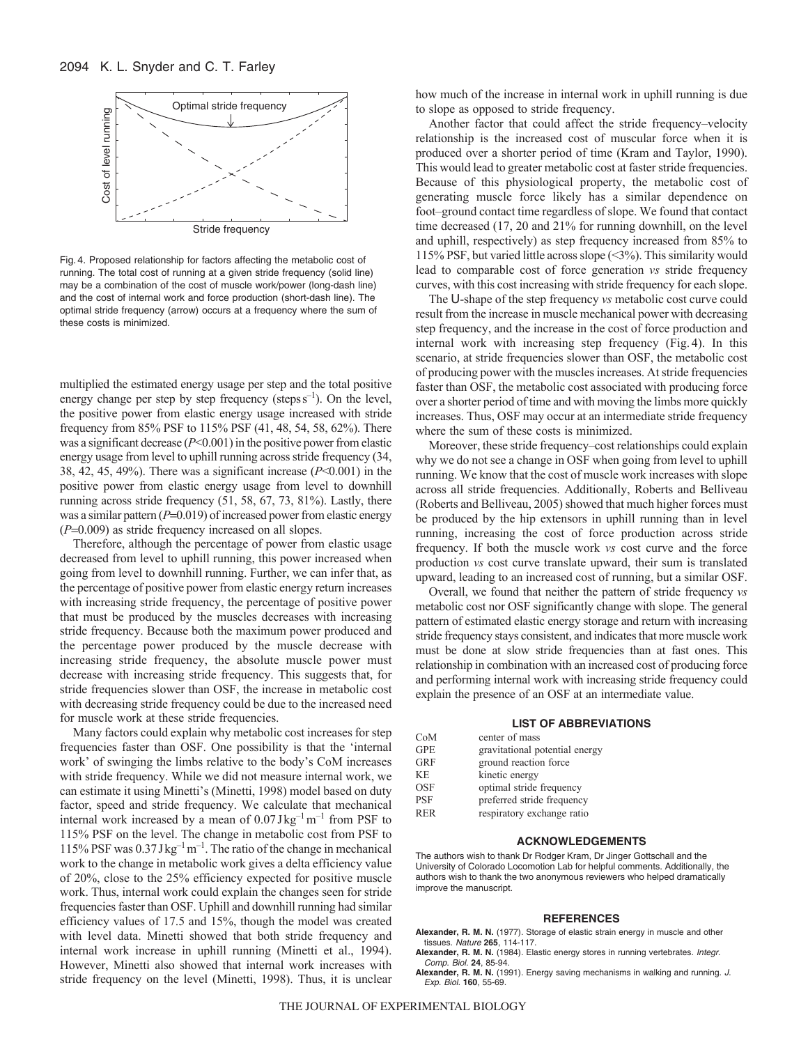

Fig. 4. Proposed relationship for factors affecting the metabolic cost of running. The total cost of running at a given stride frequency (solid line) may be a combination of the cost of muscle work/power (long-dash line) and the cost of internal work and force production (short-dash line). The optimal stride frequency (arrow) occurs at a frequency where the sum of these costs is minimized.

multiplied the estimated energy usage per step and the total positive energy change per step by step frequency (steps  $s^{-1}$ ). On the level, the positive power from elastic energy usage increased with stride frequency from 85% PSF to 115% PSF (41, 48, 54, 58, 62%). There was a significant decrease (*P*<0.001) in the positive power from elastic energy usage from level to uphill running across stride frequency (34, 38, 42, 45, 49%). There was a significant increase (*P*<0.001) in the positive power from elastic energy usage from level to downhill running across stride frequency (51, 58, 67, 73, 81%). Lastly, there was a similar pattern  $(P=0.019)$  of increased power from elastic energy  $(P=0.009)$  as stride frequency increased on all slopes.

Therefore, although the percentage of power from elastic usage decreased from level to uphill running, this power increased when going from level to downhill running. Further, we can infer that, as the percentage of positive power from elastic energy return increases with increasing stride frequency, the percentage of positive power that must be produced by the muscles decreases with increasing stride frequency. Because both the maximum power produced and the percentage power produced by the muscle decrease with increasing stride frequency, the absolute muscle power must decrease with increasing stride frequency. This suggests that, for stride frequencies slower than OSF, the increase in metabolic cost with decreasing stride frequency could be due to the increased need for muscle work at these stride frequencies.

Many factors could explain why metabolic cost increases for step frequencies faster than OSF. One possibility is that the 'internal work' of swinging the limbs relative to the body's CoM increases with stride frequency. While we did not measure internal work, we can estimate it using Minetti's (Minetti, 1998) model based on duty factor, speed and stride frequency. We calculate that mechanical internal work increased by a mean of  $0.07$  J kg<sup>-1</sup> m<sup>-1</sup> from PSF to 115% PSF on the level. The change in metabolic cost from PSF to 115% PSF was  $0.37$  J kg<sup>-1</sup> m<sup>-1</sup>. The ratio of the change in mechanical work to the change in metabolic work gives a delta efficiency value of 20%, close to the 25% efficiency expected for positive muscle work. Thus, internal work could explain the changes seen for stride frequencies faster than OSF. Uphill and downhill running had similar efficiency values of 17.5 and 15%, though the model was created with level data. Minetti showed that both stride frequency and internal work increase in uphill running (Minetti et al., 1994). However, Minetti also showed that internal work increases with stride frequency on the level (Minetti, 1998). Thus, it is unclear how much of the increase in internal work in uphill running is due to slope as opposed to stride frequency.

Another factor that could affect the stride frequency–velocity relationship is the increased cost of muscular force when it is produced over a shorter period of time (Kram and Taylor, 1990). This would lead to greater metabolic cost at faster stride frequencies. Because of this physiological property, the metabolic cost of generating muscle force likely has a similar dependence on foot–ground contact time regardless of slope. We found that contact time decreased (17, 20 and 21% for running downhill, on the level and uphill, respectively) as step frequency increased from 85% to 115% PSF, but varied little across slope (<3%). This similarity would lead to comparable cost of force generation *vs* stride frequency curves, with this cost increasing with stride frequency for each slope.

The U-shape of the step frequency *vs* metabolic cost curve could result from the increase in muscle mechanical power with decreasing step frequency, and the increase in the cost of force production and internal work with increasing step frequency (Fig. 4). In this scenario, at stride frequencies slower than OSF, the metabolic cost of producing power with the muscles increases. At stride frequencies faster than OSF, the metabolic cost associated with producing force over a shorter period of time and with moving the limbs more quickly increases. Thus, OSF may occur at an intermediate stride frequency where the sum of these costs is minimized.

Moreover, these stride frequency–cost relationships could explain why we do not see a change in OSF when going from level to uphill running. We know that the cost of muscle work increases with slope across all stride frequencies. Additionally, Roberts and Belliveau (Roberts and Belliveau, 2005) showed that much higher forces must be produced by the hip extensors in uphill running than in level running, increasing the cost of force production across stride frequency. If both the muscle work *vs* cost curve and the force production *vs* cost curve translate upward, their sum is translated upward, leading to an increased cost of running, but a similar OSF.

Overall, we found that neither the pattern of stride frequency *vs* metabolic cost nor OSF significantly change with slope. The general pattern of estimated elastic energy storage and return with increasing stride frequency stays consistent, and indicates that more muscle work must be done at slow stride frequencies than at fast ones. This relationship in combination with an increased cost of producing force and performing internal work with increasing stride frequency could explain the presence of an OSF at an intermediate value.

#### **LIST OF ABBREVIATIONS**

| CoM        | center of mass                 |
|------------|--------------------------------|
| <b>GPE</b> | gravitational potential energy |
| <b>GRF</b> | ground reaction force          |
| <b>KE</b>  | kinetic energy                 |
| OSF        | optimal stride frequency       |
| <b>PSF</b> | preferred stride frequency     |
| <b>RER</b> | respiratory exchange ratio     |

#### **ACKNOWLEDGEMENTS**

The authors wish to thank Dr Rodger Kram, Dr Jinger Gottschall and the University of Colorado Locomotion Lab for helpful comments. Additionally, the authors wish to thank the two anonymous reviewers who helped dramatically improve the manuscript.

#### **REFERENCES**

- **Alexander, R. M. N.** (1977). Storage of elastic strain energy in muscle and other tissues. Nature **265**, 114-117.
- **Alexander, R. M. N.** (1984). Elastic energy stores in running vertebrates. Integr. Comp. Biol. **24**, 85-94.
- **Alexander, R. M. N.** (1991). Energy saving mechanisms in walking and running. J. Exp. Biol. **160**, 55-69.